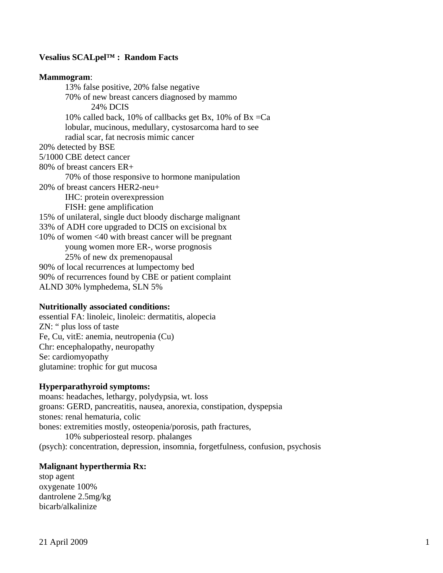## **Vesalius SCALpel™ : Random Facts**

### **Mammogram**:

 13% false positive, 20% false negative 70% of new breast cancers diagnosed by mammo 24% DCIS 10% called back, 10% of callbacks get Bx, 10% of Bx =Ca lobular, mucinous, medullary, cystosarcoma hard to see radial scar, fat necrosis mimic cancer 20% detected by BSE 5/1000 CBE detect cancer 80% of breast cancers ER+ 70% of those responsive to hormone manipulation 20% of breast cancers HER2-neu+ IHC: protein overexpression FISH: gene amplification 15% of unilateral, single duct bloody discharge malignant 33% of ADH core upgraded to DCIS on excisional bx 10% of women <40 with breast cancer will be pregnant young women more ER-, worse prognosis 25% of new dx premenopausal 90% of local recurrences at lumpectomy bed 90% of recurrences found by CBE or patient complaint ALND 30% lymphedema, SLN 5%

#### **Nutritionally associated conditions:**

essential FA: linoleic, linoleic: dermatitis, alopecia ZN: " plus loss of taste Fe, Cu, vitE: anemia, neutropenia (Cu) Chr: encephalopathy, neuropathy Se: cardiomyopathy glutamine: trophic for gut mucosa

#### **Hyperparathyroid symptoms:**

moans: headaches, lethargy, polydypsia, wt. loss groans: GERD, pancreatitis, nausea, anorexia, constipation, dyspepsia stones: renal hematuria, colic bones: extremities mostly, osteopenia/porosis, path fractures, 10% subperiosteal resorp. phalanges (psych): concentration, depression, insomnia, forgetfulness, confusion, psychosis

#### **Malignant hyperthermia Rx:**

stop agent oxygenate 100% dantrolene 2.5mg/kg bicarb/alkalinize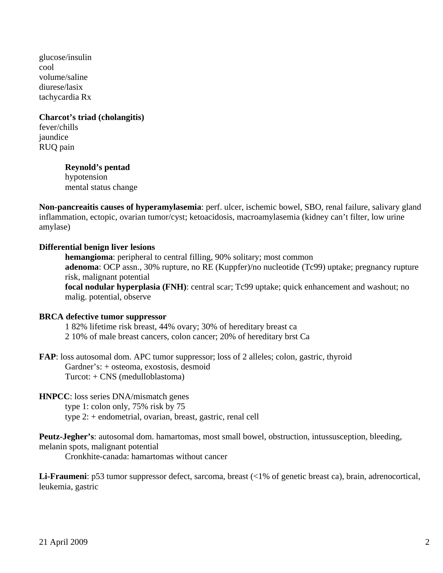glucose/insulin cool volume/saline diurese/lasix tachycardia Rx

# **Charcot's triad (cholangitis)**

fever/chills jaundice RUQ pain

## **Reynold's pentad**

 hypotension mental status change

**Non-pancreaitis causes of hyperamylasemia**: perf. ulcer, ischemic bowel, SBO, renal failure, salivary gland inflammation, ectopic, ovarian tumor/cyst; ketoacidosis, macroamylasemia (kidney can't filter, low urine amylase)

## **Differential benign liver lesions**

**hemangioma**: peripheral to central filling, 90% solitary; most common **adenoma**: OCP assn., 30% rupture, no RE (Kuppfer)/no nucleotide (Tc99) uptake; pregnancy rupture risk, malignant potential **focal nodular hyperplasia (FNH)**: central scar; Tc99 uptake; quick enhancement and washout; no malig. potential, observe

### **BRCA defective tumor suppressor**

- 1 82% lifetime risk breast, 44% ovary; 30% of hereditary breast ca
- 2 10% of male breast cancers, colon cancer; 20% of hereditary brst Ca

**FAP**: loss autosomal dom. APC tumor suppressor; loss of 2 alleles; colon, gastric, thyroid Gardner's: + osteoma, exostosis, desmoid Turcot: + CNS (medulloblastoma)

## **HNPCC**: loss series DNA/mismatch genes

 type 1: colon only, 75% risk by 75 type 2: + endometrial, ovarian, breast, gastric, renal cell

**Peutz-Jegher's**: autosomal dom. hamartomas, most small bowel, obstruction, intussusception, bleeding, melanin spots, malignant potential

Cronkhite-canada: hamartomas without cancer

**Li-Fraumeni**: p53 tumor suppressor defect, sarcoma, breast (<1% of genetic breast ca), brain, adrenocortical, leukemia, gastric